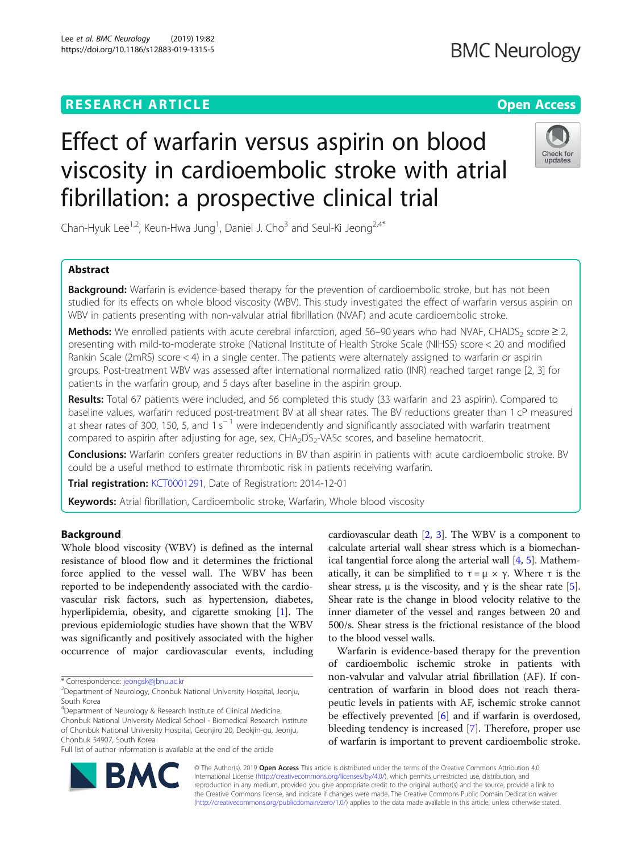# **RESEARCH ARTICLE Example 2018 12:30 The Contract of Contract Contract Open Access**

Lee et al. BMC Neurology (2019) 19:82 https://doi.org/10.1186/s12883-019-1315-5

# Effect of warfarin versus aspirin on blood viscosity in cardioembolic stroke with atrial fibrillation: a prospective clinical trial

Chan-Hyuk Lee<sup>1,2</sup>, Keun-Hwa Jung<sup>1</sup>, Daniel J. Cho<sup>3</sup> and Seul-Ki Jeong<sup>2,4\*</sup>

# Abstract

Background: Warfarin is evidence-based therapy for the prevention of cardioembolic stroke, but has not been studied for its effects on whole blood viscosity (WBV). This study investigated the effect of warfarin versus aspirin on WBV in patients presenting with non-valvular atrial fibrillation (NVAF) and acute cardioembolic stroke.

Methods: We enrolled patients with acute cerebral infarction, aged 56–90 years who had NVAF, CHADS<sub>2</sub> score  $\geq 2$ , presenting with mild-to-moderate stroke (National Institute of Health Stroke Scale (NIHSS) score < 20 and modified Rankin Scale (2mRS) score < 4) in a single center. The patients were alternately assigned to warfarin or aspirin groups. Post-treatment WBV was assessed after international normalized ratio (INR) reached target range [2, 3] for patients in the warfarin group, and 5 days after baseline in the aspirin group.

Results: Total 67 patients were included, and 56 completed this study (33 warfarin and 23 aspirin). Compared to baseline values, warfarin reduced post-treatment BV at all shear rates. The BV reductions greater than 1 cP measured at shear rates of 300, 150, 5, and 1 s<sup>−1</sup> were independently and significantly associated with warfarin treatment compared to aspirin after adjusting for age, sex, CHA<sub>2</sub>DS<sub>2</sub>-VASc scores, and baseline hematocrit.

Conclusions: Warfarin confers greater reductions in BV than aspirin in patients with acute cardioembolic stroke. BV could be a useful method to estimate thrombotic risk in patients receiving warfarin.

Trial registration: [KCT0001291](https://cris.nih.go.kr/cris/en/search/search_result_st01.jsp?seq=6188), Date of Registration: 2014-12-01

Keywords: Atrial fibrillation, Cardioembolic stroke, Warfarin, Whole blood viscosity

# Background

Whole blood viscosity (WBV) is defined as the internal resistance of blood flow and it determines the frictional force applied to the vessel wall. The WBV has been reported to be independently associated with the cardiovascular risk factors, such as hypertension, diabetes, hyperlipidemia, obesity, and cigarette smoking [[1](#page-6-0)]. The previous epidemiologic studies have shown that the WBV was significantly and positively associated with the higher occurrence of major cardiovascular events, including

\* Correspondence: [jeongsk@jbnu.ac.kr](mailto:jeongsk@jbnu.ac.kr) <sup>2</sup>

<sup>4</sup>Department of Neurology & Research Institute of Clinical Medicine, Chonbuk National University Medical School - Biomedical Research Institute of Chonbuk National University Hospital, Geonjiro 20, Deokjin-gu, Jeonju, Chonbuk 54907, South Korea

Full list of author information is available at the end of the article

cardiovascular death [\[2](#page-6-0), [3\]](#page-6-0). The WBV is a component to calculate arterial wall shear stress which is a biomechanical tangential force along the arterial wall [[4](#page-6-0), [5](#page-6-0)]. Mathematically, it can be simplified to  $τ = μ × γ$ . Where *τ* is the shear stress,  $\mu$  is the viscosity, and  $\gamma$  is the shear rate [[5](#page-6-0)]. Shear rate is the change in blood velocity relative to the inner diameter of the vessel and ranges between 20 and 500/s. Shear stress is the frictional resistance of the blood to the blood vessel walls.

Warfarin is evidence-based therapy for the prevention of cardioembolic ischemic stroke in patients with non-valvular and valvular atrial fibrillation (AF). If concentration of warfarin in blood does not reach therapeutic levels in patients with AF, ischemic stroke cannot be effectively prevented [[6\]](#page-6-0) and if warfarin is overdosed, bleeding tendency is increased [[7\]](#page-6-0). Therefore, proper use of warfarin is important to prevent cardioembolic stroke.



© The Author(s). 2019 **Open Access** This article is distributed under the terms of the Creative Commons Attribution 4.0 International License [\(http://creativecommons.org/licenses/by/4.0/](http://creativecommons.org/licenses/by/4.0/)), which permits unrestricted use, distribution, and reproduction in any medium, provided you give appropriate credit to the original author(s) and the source, provide a link to the Creative Commons license, and indicate if changes were made. The Creative Commons Public Domain Dedication waiver [\(http://creativecommons.org/publicdomain/zero/1.0/](http://creativecommons.org/publicdomain/zero/1.0/)) applies to the data made available in this article, unless otherwise stated.



Check for undates

 $2$ Department of Neurology, Chonbuk National University Hospital, Jeonju, South Korea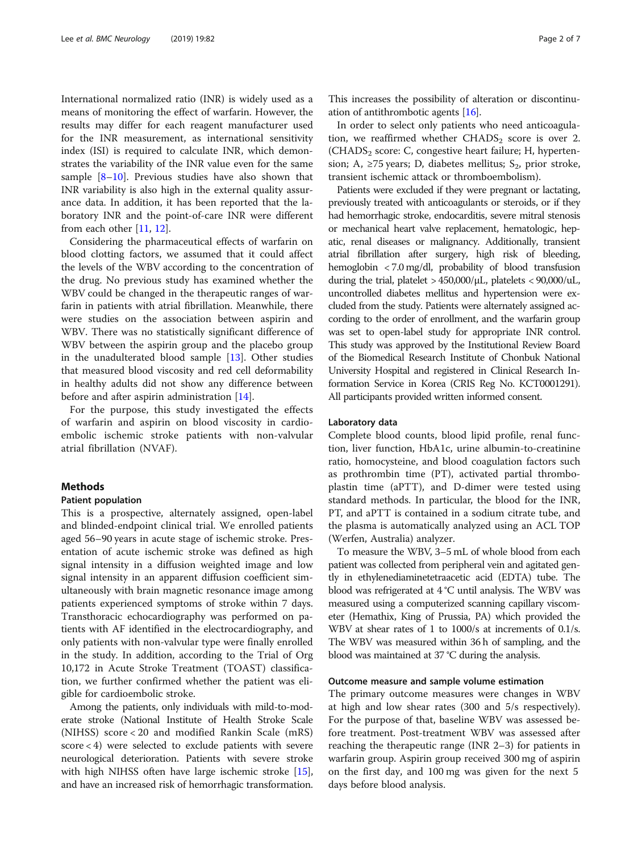International normalized ratio (INR) is widely used as a means of monitoring the effect of warfarin. However, the results may differ for each reagent manufacturer used for the INR measurement, as international sensitivity index (ISI) is required to calculate INR, which demonstrates the variability of the INR value even for the same sample [[8](#page-6-0)–[10](#page-6-0)]. Previous studies have also shown that INR variability is also high in the external quality assurance data. In addition, it has been reported that the laboratory INR and the point-of-care INR were different from each other [[11,](#page-6-0) [12](#page-6-0)].

Considering the pharmaceutical effects of warfarin on blood clotting factors, we assumed that it could affect the levels of the WBV according to the concentration of the drug. No previous study has examined whether the WBV could be changed in the therapeutic ranges of warfarin in patients with atrial fibrillation. Meanwhile, there were studies on the association between aspirin and WBV. There was no statistically significant difference of WBV between the aspirin group and the placebo group in the unadulterated blood sample [\[13](#page-6-0)]. Other studies that measured blood viscosity and red cell deformability in healthy adults did not show any difference between before and after aspirin administration [[14\]](#page-6-0).

For the purpose, this study investigated the effects of warfarin and aspirin on blood viscosity in cardioembolic ischemic stroke patients with non-valvular atrial fibrillation (NVAF).

# Methods

#### Patient population

This is a prospective, alternately assigned, open-label and blinded-endpoint clinical trial. We enrolled patients aged 56–90 years in acute stage of ischemic stroke. Presentation of acute ischemic stroke was defined as high signal intensity in a diffusion weighted image and low signal intensity in an apparent diffusion coefficient simultaneously with brain magnetic resonance image among patients experienced symptoms of stroke within 7 days. Transthoracic echocardiography was performed on patients with AF identified in the electrocardiography, and only patients with non-valvular type were finally enrolled in the study. In addition, according to the Trial of Org 10,172 in Acute Stroke Treatment (TOAST) classification, we further confirmed whether the patient was eligible for cardioembolic stroke.

Among the patients, only individuals with mild-to-moderate stroke (National Institute of Health Stroke Scale (NIHSS) score < 20 and modified Rankin Scale (mRS) score < 4) were selected to exclude patients with severe neurological deterioration. Patients with severe stroke with high NIHSS often have large ischemic stroke [[15](#page-6-0)], and have an increased risk of hemorrhagic transformation.

This increases the possibility of alteration or discontinuation of antithrombotic agents [[16\]](#page-6-0).

In order to select only patients who need anticoagulation, we reaffirmed whether  $CHADS<sub>2</sub>$  score is over 2.  $(CHADS<sub>2</sub> score: C, congestive heart failure; H, hyperten$ sion; A,  $\geq$ 75 years; D, diabetes mellitus; S<sub>2</sub>, prior stroke, transient ischemic attack or thromboembolism).

Patients were excluded if they were pregnant or lactating, previously treated with anticoagulants or steroids, or if they had hemorrhagic stroke, endocarditis, severe mitral stenosis or mechanical heart valve replacement, hematologic, hepatic, renal diseases or malignancy. Additionally, transient atrial fibrillation after surgery, high risk of bleeding, hemoglobin < 7.0 mg/dl, probability of blood transfusion during the trial, platelet > 450,000/μL, platelets < 90,000/uL, uncontrolled diabetes mellitus and hypertension were excluded from the study. Patients were alternately assigned according to the order of enrollment, and the warfarin group was set to open-label study for appropriate INR control. This study was approved by the Institutional Review Board of the Biomedical Research Institute of Chonbuk National University Hospital and registered in Clinical Research Information Service in Korea (CRIS Reg No. KCT0001291). All participants provided written informed consent.

# Laboratory data

Complete blood counts, blood lipid profile, renal function, liver function, HbA1c, urine albumin-to-creatinine ratio, homocysteine, and blood coagulation factors such as prothrombin time (PT), activated partial thromboplastin time (aPTT), and D-dimer were tested using standard methods. In particular, the blood for the INR, PT, and aPTT is contained in a sodium citrate tube, and the plasma is automatically analyzed using an ACL TOP (Werfen, Australia) analyzer.

To measure the WBV, 3–5 mL of whole blood from each patient was collected from peripheral vein and agitated gently in ethylenediaminetetraacetic acid (EDTA) tube. The blood was refrigerated at 4 °C until analysis. The WBV was measured using a computerized scanning capillary viscometer (Hemathix, King of Prussia, PA) which provided the WBV at shear rates of 1 to 1000/s at increments of 0.1/s. The WBV was measured within 36 h of sampling, and the blood was maintained at 37 °C during the analysis.

# Outcome measure and sample volume estimation

The primary outcome measures were changes in WBV at high and low shear rates (300 and 5/s respectively). For the purpose of that, baseline WBV was assessed before treatment. Post-treatment WBV was assessed after reaching the therapeutic range (INR 2–3) for patients in warfarin group. Aspirin group received 300 mg of aspirin on the first day, and 100 mg was given for the next 5 days before blood analysis.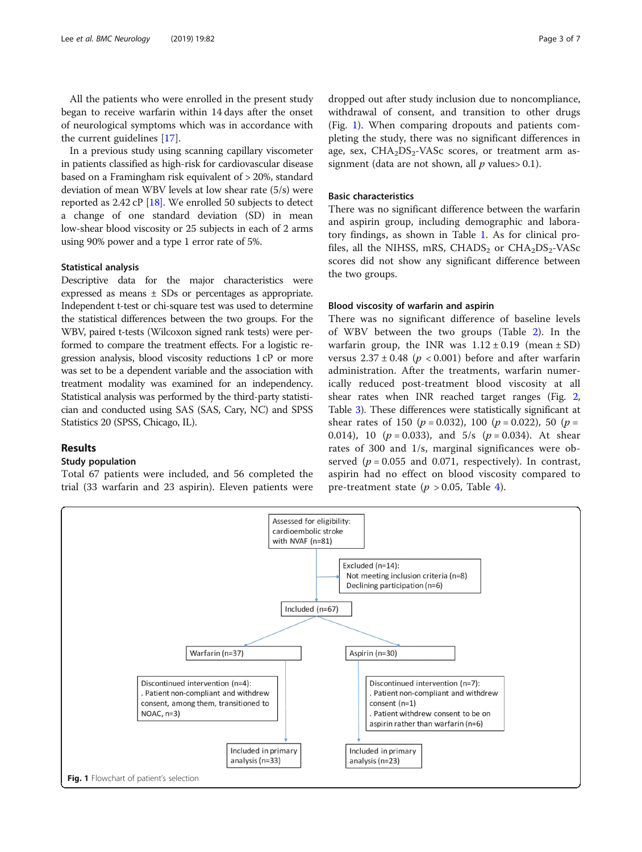All the patients who were enrolled in the present study began to receive warfarin within 14 days after the onset of neurological symptoms which was in accordance with the current guidelines [[17](#page-6-0)].

In a previous study using scanning capillary viscometer in patients classified as high-risk for cardiovascular disease based on a Framingham risk equivalent of > 20%, standard deviation of mean WBV levels at low shear rate (5/s) were reported as 2.42 cP [[18](#page-6-0)]. We enrolled 50 subjects to detect a change of one standard deviation (SD) in mean low-shear blood viscosity or 25 subjects in each of 2 arms using 90% power and a type 1 error rate of 5%.

#### Statistical analysis

Descriptive data for the major characteristics were expressed as means ± SDs or percentages as appropriate. Independent t-test or chi-square test was used to determine the statistical differences between the two groups. For the WBV, paired t-tests (Wilcoxon signed rank tests) were performed to compare the treatment effects. For a logistic regression analysis, blood viscosity reductions 1 cP or more was set to be a dependent variable and the association with treatment modality was examined for an independency. Statistical analysis was performed by the third-party statistician and conducted using SAS (SAS, Cary, NC) and SPSS Statistics 20 (SPSS, Chicago, IL).

# Results

#### Study population

Total 67 patients were included, and 56 completed the trial (33 warfarin and 23 aspirin). Eleven patients were dropped out after study inclusion due to noncompliance, withdrawal of consent, and transition to other drugs (Fig. 1). When comparing dropouts and patients completing the study, there was no significant differences in age, sex,  $CHA<sub>2</sub>DS<sub>2</sub> - VASC scores, or treatment arm as$ signment (data are not shown, all  $p$  values > 0.1).

# Basic characteristics

There was no significant difference between the warfarin and aspirin group, including demographic and laboratory findings, as shown in Table [1.](#page-3-0) As for clinical profiles, all the NIHSS, mRS, CHADS<sub>2</sub> or CHA<sub>2</sub>DS<sub>2</sub>-VASc scores did not show any significant difference between the two groups.

# Blood viscosity of warfarin and aspirin

There was no significant difference of baseline levels of WBV between the two groups (Table [2](#page-3-0)). In the warfarin group, the INR was  $1.12 \pm 0.19$  (mean  $\pm$  SD) versus  $2.37 \pm 0.48$  ( $p < 0.001$ ) before and after warfarin administration. After the treatments, warfarin numerically reduced post-treatment blood viscosity at all shear rates when INR reached target ranges (Fig. [2](#page-4-0), Table [3\)](#page-4-0). These differences were statistically significant at shear rates of 150 ( $p = 0.032$ ), 100 ( $p = 0.022$ ), 50 ( $p =$ 0.014), 10 ( $p = 0.033$ ), and  $5/s$  ( $p = 0.034$ ). At shear rates of 300 and 1/s, marginal significances were observed ( $p = 0.055$  and 0.071, respectively). In contrast, aspirin had no effect on blood viscosity compared to pre-treatment state ( $p > 0.05$ , Table [4](#page-4-0)).

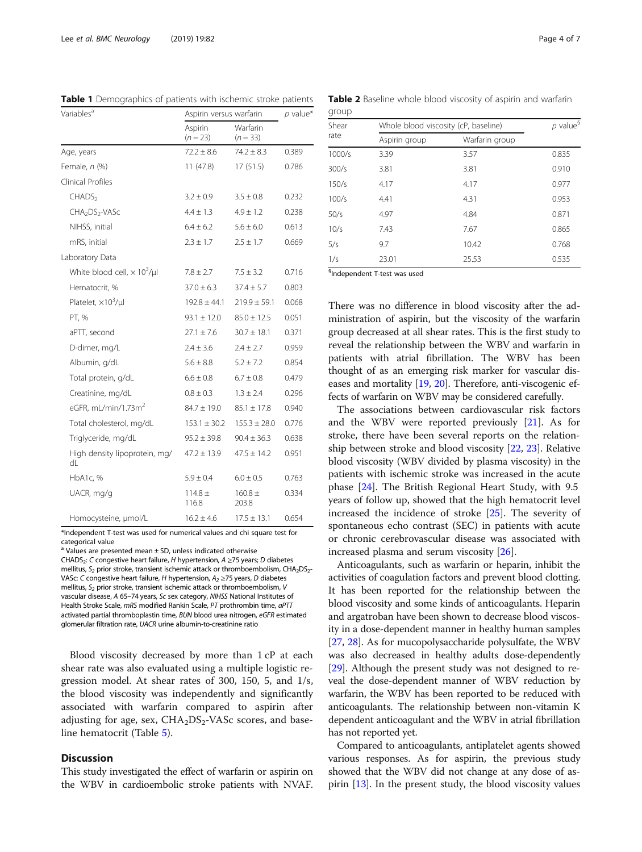| Variables <sup>a</sup>                         | Aspirin versus warfarin | $p$ value*             |       |  |
|------------------------------------------------|-------------------------|------------------------|-------|--|
|                                                | Aspirin<br>$(n = 23)$   | Warfarin<br>$(n = 33)$ |       |  |
| Age, years                                     | $72.2 \pm 8.6$          | $74.2 \pm 8.3$         | 0.389 |  |
| Female, n (%)                                  | 11(47.8)                | 17(51.5)               | 0.786 |  |
| Clinical Profiles                              |                         |                        |       |  |
| CHADS <sub>2</sub>                             | $3.2 \pm 0.9$           | $3.5 \pm 0.8$          | 0.232 |  |
| CHA <sub>2</sub> DS <sub>2</sub> -VASc         | $4.4 \pm 1.3$           | $4.9 \pm 1.2$          | 0.238 |  |
| NIHSS, initial                                 | $6.4 \pm 6.2$           | $5.6 \pm 6.0$          | 0.613 |  |
| mRS, initial                                   | $2.3 \pm 1.7$           | $2.5 \pm 1.7$          | 0.669 |  |
| Laboratory Data                                |                         |                        |       |  |
| White blood cell, $\times$ 10 <sup>3</sup> /µl | $7.8 \pm 2.7$           | $7.5 \pm 3.2$          | 0.716 |  |
| Hematocrit, %                                  | $37.0 + 6.3$            | $37.4 \pm 5.7$         | 0.803 |  |
| Platelet, $\times 10^3$ /µ                     | $192.8 \pm 44.1$        | $219.9 \pm 59.1$       | 0.068 |  |
| PT, %                                          | $93.1 \pm 12.0$         | $85.0 \pm 12.5$        | 0.051 |  |
| aPTT, second                                   | $27.1 \pm 7.6$          | $30.7 \pm 18.1$        | 0.371 |  |
| D-dimer, mg/L                                  | $2.4 \pm 3.6$           | $2.4 \pm 2.7$          | 0.959 |  |
| Albumin, g/dL                                  | $5.6 \pm 8.8$           | $5.2 \pm 7.2$          | 0.854 |  |
| Total protein, g/dL                            | $6.6 \pm 0.8$           | $6.7 \pm 0.8$          | 0.479 |  |
| Creatinine, mg/dL                              | $0.8 \pm 0.3$           | $1.3 \pm 2.4$          | 0.296 |  |
| eGFR, mL/min/1.73m <sup>2</sup>                | $84.7 \pm 19.0$         | $85.1 \pm 17.8$        | 0.940 |  |
| Total cholesterol, mg/dL                       | $153.1 \pm 30.2$        | $155.3 \pm 28.0$       | 0.776 |  |
| Triglyceride, mg/dL                            | $95.2 \pm 39.8$         | $90.4 \pm 36.3$        | 0.638 |  |
| High density lipoprotein, mg/<br>dL            | $47.2 \pm 13.9$         | $47.5 \pm 14.2$        | 0.951 |  |
| HbA1c, %                                       | $5.9 \pm 0.4$           | $6.0 \pm 0.5$          | 0.763 |  |
| UACR, mg/g                                     | $114.8 \pm$<br>116.8    | $160.8 \pm$<br>203.8   | 0.334 |  |
| Homocysteine, µmol/L                           | $16.2 \pm 4.6$          | $17.5 \pm 13.1$        | 0.654 |  |

<span id="page-3-0"></span>Table 1 Demographics of patients with ischemic stroke patients

\*Independent T-test was used for numerical values and chi square test for categorical value

Values are presented mean  $\pm$  SD, unless indicated otherwise

CHADS<sub>2</sub>: C congestive heart failure, H hypertension,  $A \ge 75$  years; D diabetes mellitus,  $S_2$  prior stroke, transient ischemic attack or thromboembolism, CHA<sub>2</sub>DS<sub>2</sub>-VASc: C congestive heart failure, H hypertension,  $A_2 \ge 75$  years, D diabetes mellitus,  $S_2$  prior stroke, transient ischemic attack or thromboembolism, V vascular disease, A <sup>65</sup>–74 years, Sc sex category, NIHSS National Institutes of Health Stroke Scale, mRS modified Rankin Scale, PT prothrombin time, aPTT activated partial thromboplastin time, BUN blood urea nitrogen, eGFR estimated glomerular filtration rate, UACR urine albumin-to-creatinine ratio

Blood viscosity decreased by more than 1 cP at each shear rate was also evaluated using a multiple logistic regression model. At shear rates of 300, 150, 5, and 1/s, the blood viscosity was independently and significantly associated with warfarin compared to aspirin after adjusting for age, sex,  $CHA<sub>2</sub>DS<sub>2</sub> - VASc$  scores, and baseline hematocrit (Table [5](#page-5-0)).

# **Discussion**

This study investigated the effect of warfarin or aspirin on the WBV in cardioembolic stroke patients with NVAF.

|       | Table 2 Baseline whole blood viscosity of aspirin and warfarin |  |  |  |  |
|-------|----------------------------------------------------------------|--|--|--|--|
| group |                                                                |  |  |  |  |

| Shear<br>rate | Whole blood viscosity (cP, baseline)             | $p$ value <sup>§</sup> |       |
|---------------|--------------------------------------------------|------------------------|-------|
|               | Aspirin group                                    | Warfarin group         |       |
| 1000/s        | 3.39                                             | 3.57                   | 0.835 |
| 300/s         | 3.81                                             | 3.81                   | 0.910 |
| 150/s         | 4.17                                             | 4.17                   | 0.977 |
| 100/s         | 4.41                                             | 4.31                   | 0.953 |
| 50/s          | 4.97                                             | 4.84                   | 0.871 |
| 10/s          | 7.43                                             | 7.67                   | 0.865 |
| 5/s           | 9.7                                              | 10.42                  | 0.768 |
| 1/s           | 23.01                                            | 25.53                  | 0.535 |
|               | المحمدات والمحمد المحمد المستحام لمتحدث والمسافح |                        |       |

§ Independent T-test was used

There was no difference in blood viscosity after the administration of aspirin, but the viscosity of the warfarin group decreased at all shear rates. This is the first study to reveal the relationship between the WBV and warfarin in patients with atrial fibrillation. The WBV has been thought of as an emerging risk marker for vascular diseases and mortality [\[19,](#page-6-0) [20\]](#page-6-0). Therefore, anti-viscogenic effects of warfarin on WBV may be considered carefully.

The associations between cardiovascular risk factors and the WBV were reported previously [\[21](#page-6-0)]. As for stroke, there have been several reports on the relationship between stroke and blood viscosity [[22](#page-6-0), [23](#page-6-0)]. Relative blood viscosity (WBV divided by plasma viscosity) in the patients with ischemic stroke was increased in the acute phase [\[24](#page-6-0)]. The British Regional Heart Study, with 9.5 years of follow up, showed that the high hematocrit level increased the incidence of stroke [\[25](#page-6-0)]. The severity of spontaneous echo contrast (SEC) in patients with acute or chronic cerebrovascular disease was associated with increased plasma and serum viscosity [\[26](#page-6-0)].

Anticoagulants, such as warfarin or heparin, inhibit the activities of coagulation factors and prevent blood clotting. It has been reported for the relationship between the blood viscosity and some kinds of anticoagulants. Heparin and argatroban have been shown to decrease blood viscosity in a dose-dependent manner in healthy human samples [[27](#page-6-0), [28](#page-6-0)]. As for mucopolysaccharide polysulfate, the WBV was also decreased in healthy adults dose-dependently [[29](#page-6-0)]. Although the present study was not designed to reveal the dose-dependent manner of WBV reduction by warfarin, the WBV has been reported to be reduced with anticoagulants. The relationship between non-vitamin K dependent anticoagulant and the WBV in atrial fibrillation has not reported yet.

Compared to anticoagulants, antiplatelet agents showed various responses. As for aspirin, the previous study showed that the WBV did not change at any dose of aspirin [\[13\]](#page-6-0). In the present study, the blood viscosity values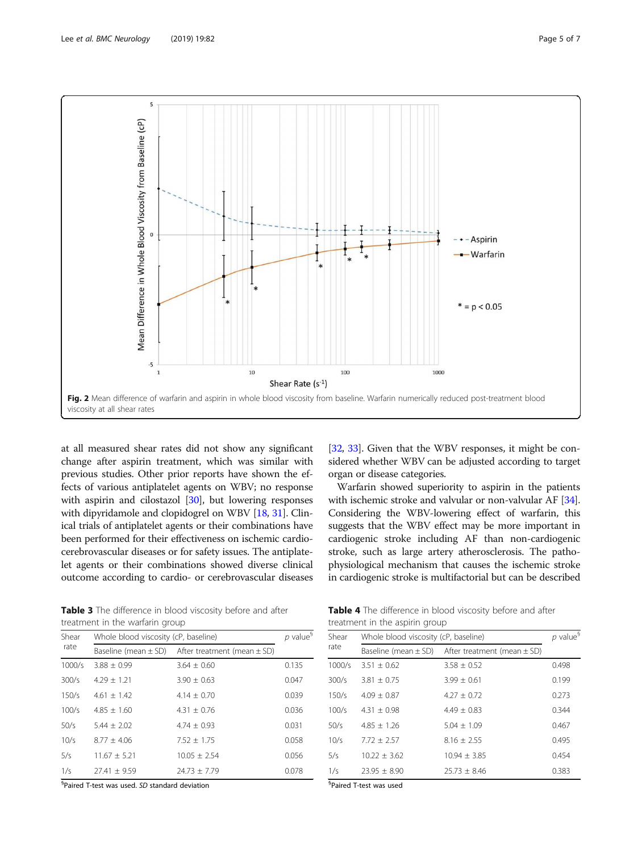<span id="page-4-0"></span>

at all measured shear rates did not show any significant change after aspirin treatment, which was similar with previous studies. Other prior reports have shown the effects of various antiplatelet agents on WBV; no response with aspirin and cilostazol [\[30\]](#page-6-0), but lowering responses with dipyridamole and clopidogrel on WBV [\[18,](#page-6-0) [31](#page-6-0)]. Clinical trials of antiplatelet agents or their combinations have been performed for their effectiveness on ischemic cardiocerebrovascular diseases or for safety issues. The antiplatelet agents or their combinations showed diverse clinical outcome according to cardio- or cerebrovascular diseases

[[32](#page-6-0), [33](#page-6-0)]. Given that the WBV responses, it might be considered whether WBV can be adjusted according to target organ or disease categories.

Warfarin showed superiority to aspirin in the patients with ischemic stroke and valvular or non-valvular AF [[34](#page-6-0)]. Considering the WBV-lowering effect of warfarin, this suggests that the WBV effect may be more important in cardiogenic stroke including AF than non-cardiogenic stroke, such as large artery atherosclerosis. The pathophysiological mechanism that causes the ischemic stroke in cardiogenic stroke is multifactorial but can be described

Table 3 The difference in blood viscosity before and after treatment in the warfarin group

| Shear  | Whole blood viscosity (cP, baseline) | $p$ value <sup>§</sup>                                   |       |
|--------|--------------------------------------|----------------------------------------------------------|-------|
| rate   |                                      | Baseline (mean $\pm$ SD) After treatment (mean $\pm$ SD) |       |
| 1000/s | $3.88 + 0.99$                        | $3.64 + 0.60$                                            | 0.135 |
| 300/s  | $4.29 + 1.21$                        | $3.90 + 0.63$                                            | 0.047 |
| 150/s  | $4.61 + 1.42$                        | $4.14 + 0.70$                                            | 0.039 |
| 100/s  | $4.85 + 1.60$                        | $4.31 + 0.76$                                            | 0.036 |
| 50/s   | $5.44 + 2.02$                        | $4.74 + 0.93$                                            | 0.031 |
| 10/s   | $8.77 + 4.06$                        | $7.52 + 1.75$                                            | 0.058 |
| 5/s    | $11.67 \pm 5.21$                     | $10.05 \pm 2.54$                                         | 0.056 |
| 1/s    | $77.41 + 9.59$                       | $74.73 + 7.79$                                           | 0.078 |

§ Paired T-test was used. SD standard deviation

Table 4 The difference in blood viscosity before and after treatment in the aspirin group

| Shear<br>rate | Whole blood viscosity (cP, baseline)                     |                  |       |
|---------------|----------------------------------------------------------|------------------|-------|
|               | Baseline (mean $\pm$ SD) After treatment (mean $\pm$ SD) |                  |       |
| 1000/s        | $3.51 \pm 0.62$                                          | $3.58 \pm 0.52$  | 0.498 |
| 300/s         | $3.81 + 0.75$                                            | $3.99 + 0.61$    | 0.199 |
| 150/s         | $4.09 + 0.87$                                            | $4.27 + 0.72$    | 0.273 |
| 100/s         | $4.31 \pm 0.98$                                          | $4.49 + 0.83$    | 0.344 |
| 50/s          | $4.85 + 1.26$                                            | $5.04 + 1.09$    | 0.467 |
| 10/s          | $7.72 + 2.57$                                            | $8.16 + 2.55$    | 0.495 |
| 5/s           | $10.22 + 3.62$                                           | $10.94 + 3.85$   | 0.454 |
| 1/s           | $23.95 \pm 8.90$                                         | $25.73 \pm 8.46$ | 0.383 |

§ Paired T-test was used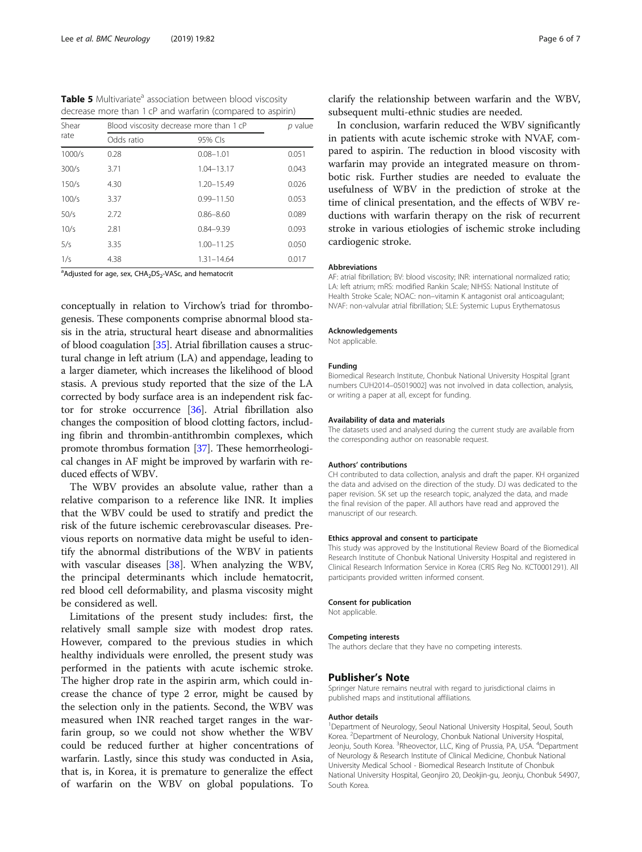<span id="page-5-0"></span>Table 5 Multivariate<sup>a</sup> association between blood viscosity decrease more than 1 cP and warfarin (compared to aspirin)

| Shear<br>rate |            | Blood viscosity decrease more than 1 cP |       |  |
|---------------|------------|-----------------------------------------|-------|--|
|               | Odds ratio | 95% Cls                                 |       |  |
| 1000/s        | 0.28       | $0.08 - 1.01$                           | 0.051 |  |
| 300/s         | 3.71       | $1.04 - 13.17$                          | 0.043 |  |
| 150/s         | 4.30       | $1.20 - 15.49$                          | 0.026 |  |
| 100/s         | 3.37       | $0.99 - 11.50$                          | 0.053 |  |
| 50/s          | 2.72       | $0.86 - 8.60$                           | 0.089 |  |
| 10/s          | 2.81       | $0.84 - 9.39$                           | 0.093 |  |
| 5/s           | 3.35       | $1.00 - 11.25$                          | 0.050 |  |
| 1/s           | 4.38       | $1.31 - 14.64$                          | 0.017 |  |

<sup>a</sup>Adjusted for age, sex, CHA<sub>2</sub>DS<sub>2</sub>-VASc, and hematocrit

conceptually in relation to Virchow's triad for thrombogenesis. These components comprise abnormal blood stasis in the atria, structural heart disease and abnormalities of blood coagulation [[35](#page-6-0)]. Atrial fibrillation causes a structural change in left atrium (LA) and appendage, leading to a larger diameter, which increases the likelihood of blood stasis. A previous study reported that the size of the LA corrected by body surface area is an independent risk factor for stroke occurrence [[36\]](#page-6-0). Atrial fibrillation also changes the composition of blood clotting factors, including fibrin and thrombin-antithrombin complexes, which promote thrombus formation [[37](#page-6-0)]. These hemorrheological changes in AF might be improved by warfarin with reduced effects of WBV.

The WBV provides an absolute value, rather than a relative comparison to a reference like INR. It implies that the WBV could be used to stratify and predict the risk of the future ischemic cerebrovascular diseases. Previous reports on normative data might be useful to identify the abnormal distributions of the WBV in patients with vascular diseases [\[38\]](#page-6-0). When analyzing the WBV, the principal determinants which include hematocrit, red blood cell deformability, and plasma viscosity might be considered as well.

Limitations of the present study includes: first, the relatively small sample size with modest drop rates. However, compared to the previous studies in which healthy individuals were enrolled, the present study was performed in the patients with acute ischemic stroke. The higher drop rate in the aspirin arm, which could increase the chance of type 2 error, might be caused by the selection only in the patients. Second, the WBV was measured when INR reached target ranges in the warfarin group, so we could not show whether the WBV could be reduced further at higher concentrations of warfarin. Lastly, since this study was conducted in Asia, that is, in Korea, it is premature to generalize the effect of warfarin on the WBV on global populations. To

clarify the relationship between warfarin and the WBV, subsequent multi-ethnic studies are needed.

In conclusion, warfarin reduced the WBV significantly in patients with acute ischemic stroke with NVAF, compared to aspirin. The reduction in blood viscosity with warfarin may provide an integrated measure on thrombotic risk. Further studies are needed to evaluate the usefulness of WBV in the prediction of stroke at the time of clinical presentation, and the effects of WBV reductions with warfarin therapy on the risk of recurrent stroke in various etiologies of ischemic stroke including cardiogenic stroke.

#### Abbreviations

AF: atrial fibrillation; BV: blood viscosity; INR: international normalized ratio; LA: left atrium; mRS: modified Rankin Scale; NIHSS: National Institute of Health Stroke Scale; NOAC: non–vitamin K antagonist oral anticoagulant; NVAF: non-valvular atrial fibrillation; SLE: Systemic Lupus Erythematosus

#### Acknowledgements

Not applicable.

#### Funding

Biomedical Research Institute, Chonbuk National University Hospital [grant numbers CUH2014–05019002] was not involved in data collection, analysis, or writing a paper at all, except for funding.

#### Availability of data and materials

The datasets used and analysed during the current study are available from the corresponding author on reasonable request.

#### Authors' contributions

CH contributed to data collection, analysis and draft the paper. KH organized the data and advised on the direction of the study. DJ was dedicated to the paper revision. SK set up the research topic, analyzed the data, and made the final revision of the paper. All authors have read and approved the manuscript of our research.

#### Ethics approval and consent to participate

This study was approved by the Institutional Review Board of the Biomedical Research Institute of Chonbuk National University Hospital and registered in Clinical Research Information Service in Korea (CRIS Reg No. KCT0001291). All participants provided written informed consent.

#### Consent for publication

Not applicable.

#### Competing interests

The authors declare that they have no competing interests.

## Publisher's Note

Springer Nature remains neutral with regard to jurisdictional claims in published maps and institutional affiliations.

#### Author details

<sup>1</sup>Department of Neurology, Seoul National University Hospital, Seoul, South Korea. <sup>2</sup> Department of Neurology, Chonbuk National University Hospital, Jeonju, South Korea. <sup>3</sup>Rheovector, LLC, King of Prussia, PA, USA. <sup>4</sup>Department of Neurology & Research Institute of Clinical Medicine, Chonbuk National University Medical School - Biomedical Research Institute of Chonbuk National University Hospital, Geonjiro 20, Deokjin-gu, Jeonju, Chonbuk 54907, South Korea.